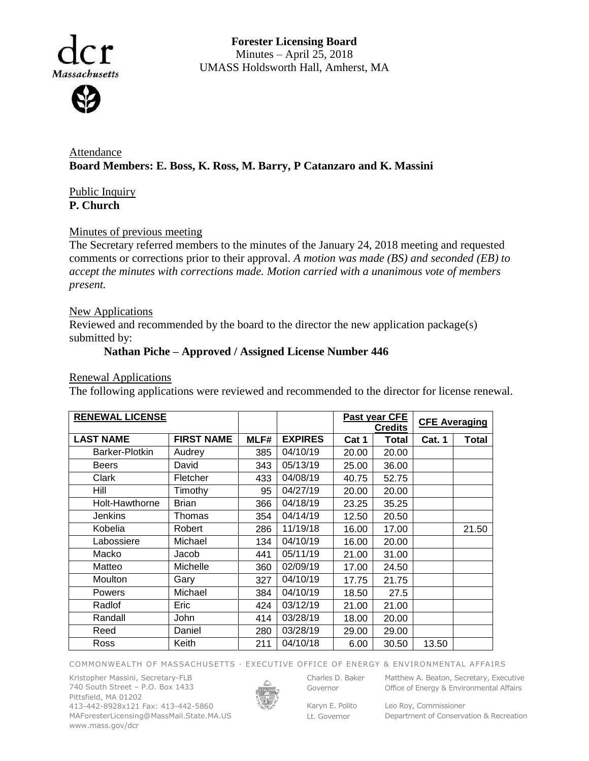Massachusetts

**Forester Licensing Board**  Minutes – April 25, 2018 UMASS Holdsworth Hall, Amherst, MA

Attendance **Board Members: E. Boss, K. Ross, M. Barry, P Catanzaro and K. Massini**

Public Inquiry **P. Church**

### Minutes of previous meeting

The Secretary referred members to the minutes of the January 24, 2018 meeting and requested comments or corrections prior to their approval. *A motion was made (BS) and seconded (EB) to accept the minutes with corrections made. Motion carried with a unanimous vote of members present.*

#### New Applications

Reviewed and recommended by the board to the director the new application package(s) submitted by:

## **Nathan Piche – Approved / Assigned License Number 446**

#### Renewal Applications

The following applications were reviewed and recommended to the director for license renewal.

| <b>RENEWAL LICENSE</b> |                   |      |                | Past year CFE  |              | <b>CFE Averaging</b> |       |
|------------------------|-------------------|------|----------------|----------------|--------------|----------------------|-------|
|                        |                   |      |                | <b>Credits</b> |              |                      |       |
| <b>LAST NAME</b>       | <b>FIRST NAME</b> | MLF# | <b>EXPIRES</b> | Cat 1          | <b>Total</b> | <b>Cat. 1</b>        | Total |
| Barker-Plotkin         | Audrey            | 385  | 04/10/19       | 20.00          | 20.00        |                      |       |
| <b>Beers</b>           | David             | 343  | 05/13/19       | 25.00          | 36.00        |                      |       |
| Clark                  | Fletcher          | 433  | 04/08/19       | 40.75          | 52.75        |                      |       |
| Hill                   | Timothy           | 95   | 04/27/19       | 20.00          | 20.00        |                      |       |
| Holt-Hawthorne         | <b>Brian</b>      | 366  | 04/18/19       | 23.25          | 35.25        |                      |       |
| <b>Jenkins</b>         | Thomas            | 354  | 04/14/19       | 12.50          | 20.50        |                      |       |
| Kobelia                | Robert            | 286  | 11/19/18       | 16.00          | 17.00        |                      | 21.50 |
| Labossiere             | Michael           | 134  | 04/10/19       | 16.00          | 20.00        |                      |       |
| Macko                  | Jacob             | 441  | 05/11/19       | 21.00          | 31.00        |                      |       |
| Matteo                 | Michelle          | 360  | 02/09/19       | 17.00          | 24.50        |                      |       |
| Moulton                | Gary              | 327  | 04/10/19       | 17.75          | 21.75        |                      |       |
| <b>Powers</b>          | Michael           | 384  | 04/10/19       | 18.50          | 27.5         |                      |       |
| Radlof                 | Eric              | 424  | 03/12/19       | 21.00          | 21.00        |                      |       |
| Randall                | John              | 414  | 03/28/19       | 18.00          | 20.00        |                      |       |
| Reed                   | Daniel            | 280  | 03/28/19       | 29.00          | 29.00        |                      |       |
| Ross                   | Keith             | 211  | 04/10/18       | 6.00           | 30.50        | 13.50                |       |

COMMONWEALTH OF MASSACHUSETTS · EXECUTIVE OFFICE OF ENERGY & ENVIRONMENTAL AFFAIRS

Kristopher Massini, Secretary-FLB 740 South Street – P.O. Box 1433 Pittsfield, MA 01202 413-442-8928x121 Fax: 413-442-5860 MAForesterLicensing@MassMail.State.MA.US www.mass.gov/dcr



Governor

Karyn E. Polito

Charles D. Baker Matthew A. Beaton, Secretary, Executive Office of Energy & Environmental Affairs

Lt. Governor

Leo Roy, Commissioner Department of Conservation & Recreation